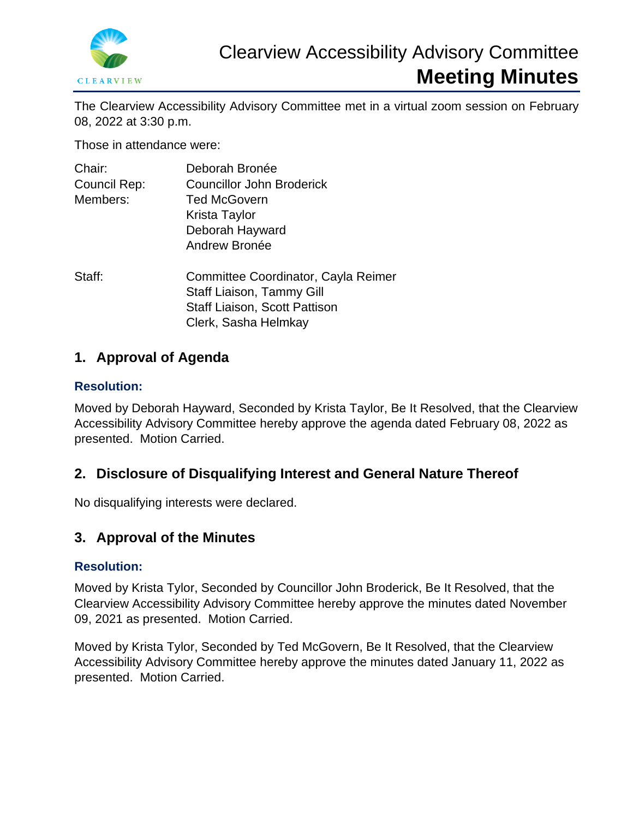

The Clearview Accessibility Advisory Committee met in a virtual zoom session on February 08, 2022 at 3:30 p.m.

Those in attendance were:

| Chair:       | Deborah Bronée                                                                                                                   |
|--------------|----------------------------------------------------------------------------------------------------------------------------------|
| Council Rep: | <b>Councillor John Broderick</b>                                                                                                 |
| Members:     | <b>Ted McGovern</b>                                                                                                              |
|              | Krista Taylor                                                                                                                    |
|              | Deborah Hayward                                                                                                                  |
|              | Andrew Bronée                                                                                                                    |
| Staff:       | Committee Coordinator, Cayla Reimer<br>Staff Liaison, Tammy Gill<br><b>Staff Liaison, Scott Pattison</b><br>Clerk, Sasha Helmkay |

## **1. Approval of Agenda**

### **Resolution:**

Moved by Deborah Hayward, Seconded by Krista Taylor, Be It Resolved, that the Clearview Accessibility Advisory Committee hereby approve the agenda dated February 08, 2022 as presented. Motion Carried.

# **2. Disclosure of Disqualifying Interest and General Nature Thereof**

No disqualifying interests were declared.

## **3. Approval of the Minutes**

### **Resolution:**

Moved by Krista Tylor, Seconded by Councillor John Broderick, Be It Resolved, that the Clearview Accessibility Advisory Committee hereby approve the minutes dated November 09, 2021 as presented. Motion Carried.

Moved by Krista Tylor, Seconded by Ted McGovern, Be It Resolved, that the Clearview Accessibility Advisory Committee hereby approve the minutes dated January 11, 2022 as presented. Motion Carried.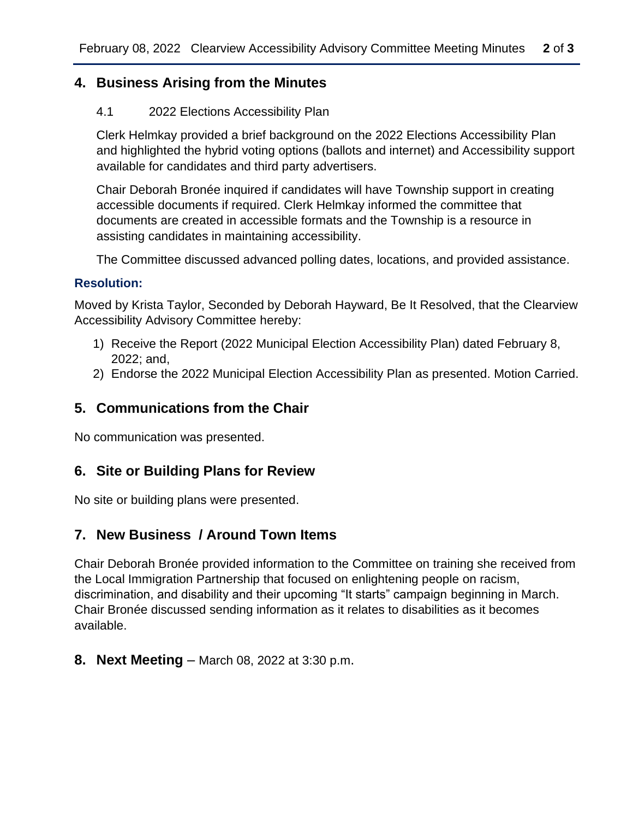### **4. Business Arising from the Minutes**

#### 4.1 2022 Elections Accessibility Plan

Clerk Helmkay provided a brief background on the 2022 Elections Accessibility Plan and highlighted the hybrid voting options (ballots and internet) and Accessibility support available for candidates and third party advertisers.

Chair Deborah Bronée inquired if candidates will have Township support in creating accessible documents if required. Clerk Helmkay informed the committee that documents are created in accessible formats and the Township is a resource in assisting candidates in maintaining accessibility.

The Committee discussed advanced polling dates, locations, and provided assistance.

#### **Resolution:**

Moved by Krista Taylor, Seconded by Deborah Hayward, Be It Resolved, that the Clearview Accessibility Advisory Committee hereby:

- 1) Receive the Report (2022 Municipal Election Accessibility Plan) dated February 8, 2022; and,
- 2) Endorse the 2022 Municipal Election Accessibility Plan as presented. Motion Carried.

## **5. Communications from the Chair**

No communication was presented.

## **6. Site or Building Plans for Review**

No site or building plans were presented.

## **7. New Business / Around Town Items**

Chair Deborah Bronée provided information to the Committee on training she received from the Local Immigration Partnership that focused on enlightening people on racism, discrimination, and disability and their upcoming "It starts" campaign beginning in March. Chair Bronée discussed sending information as it relates to disabilities as it becomes available.

### **8. Next Meeting** – March 08, 2022 at 3:30 p.m.